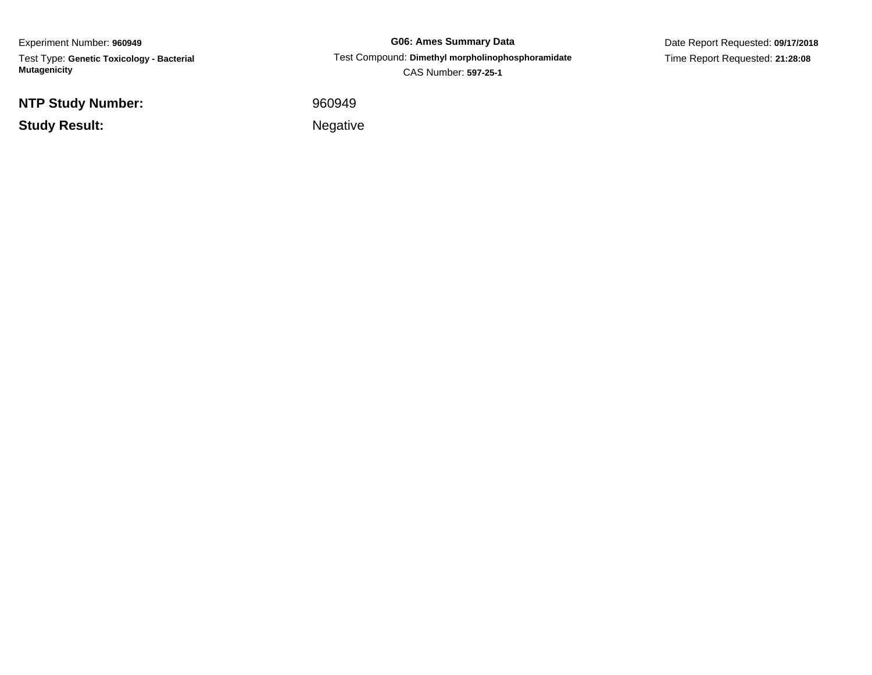Experiment Number: **960949**Test Type: **Genetic Toxicology - Bacterial Mutagenicity**

**NTP Study Number:**

**Study Result:**

**G06: Ames Summary Data** Test Compound: **Dimethyl morpholinophosphoramidate**CAS Number: **597-25-1**

Date Report Requested: **09/17/2018**Time Report Requested: **21:28:08**

<sup>960949</sup>

Negative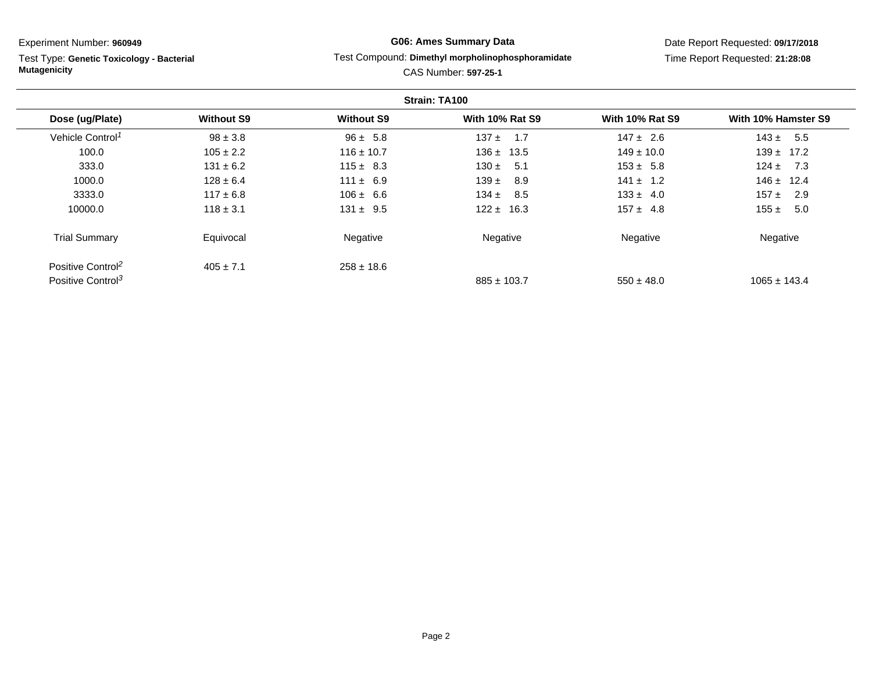Test Type: **Genetic Toxicology - Bacterial Mutagenicity**

## **G06: Ames Summary Data**

### Test Compound: **Dimethyl morpholinophosphoramidate**

Date Report Requested: **09/17/2018**Time Report Requested: **21:28:08**

|                               |                   |                   | Strain: TA100          |                        |                     |
|-------------------------------|-------------------|-------------------|------------------------|------------------------|---------------------|
| Dose (ug/Plate)               | <b>Without S9</b> | <b>Without S9</b> | <b>With 10% Rat S9</b> | <b>With 10% Rat S9</b> | With 10% Hamster S9 |
| Vehicle Control <sup>1</sup>  | $98 \pm 3.8$      | $96 \pm 5.8$      | $137 \pm 1.7$          | $147 \pm 2.6$          | 5.5<br>$143 \pm$    |
| 100.0                         | $105 \pm 2.2$     | $116 \pm 10.7$    | $136 \pm 13.5$         | $149 \pm 10.0$         | $139 \pm 17.2$      |
| 333.0                         | $131 \pm 6.2$     | $115 \pm 8.3$     | $130 \pm$<br>- 5.1     | $153 \pm 5.8$          | $124 \pm 7.3$       |
| 1000.0                        | $128 \pm 6.4$     | $111 \pm 6.9$     | $139 \pm$<br>8.9       | $141 \pm 1.2$          | $146 \pm 12.4$      |
| 3333.0                        | $117 \pm 6.8$     | $106 \pm 6.6$     | $134 \pm$<br>8.5       | $133 \pm 4.0$          | 157 $\pm$<br>2.9    |
| 10000.0                       | $118 \pm 3.1$     | $131 \pm 9.5$     | $122 \pm 16.3$         | $157 \pm 4.8$          | 155 $\pm$<br>5.0    |
| <b>Trial Summary</b>          | Equivocal         | Negative          | Negative               | Negative               | Negative            |
| Positive Control <sup>2</sup> | $405 \pm 7.1$     | $258 \pm 18.6$    |                        |                        |                     |
| Positive Control <sup>3</sup> |                   |                   | $885 \pm 103.7$        | $550 \pm 48.0$         | $1065 \pm 143.4$    |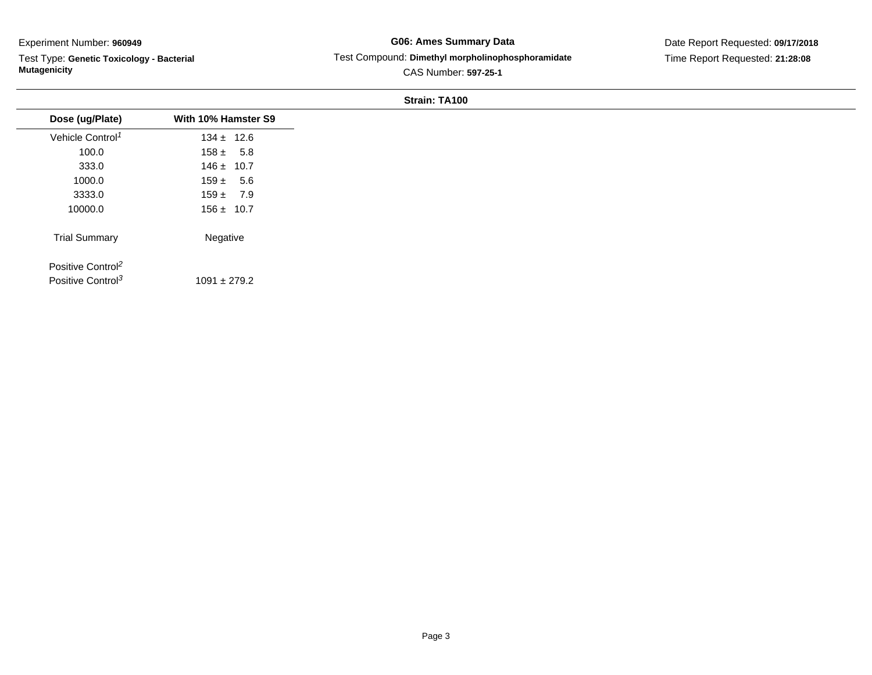Test Type: **Genetic Toxicology - Bacterial Mutagenicity**

## **G06: Ames Summary Data** Test Compound: **Dimethyl morpholinophosphoramidate**CAS Number: **597-25-1**

Date Report Requested: **09/17/2018**Time Report Requested: **21:28:08**

# **Strain: TA100**

| Dose (ug/Plate)               | With 10% Hamster S9 |
|-------------------------------|---------------------|
| Vehicle Control <sup>1</sup>  | $134 \pm 12.6$      |
| 100.0                         | $158 \pm 5.8$       |
| 333.0                         | $146 \pm 10.7$      |
| 1000.0                        | $159 \pm 5.6$       |
| 3333.0                        | $159 \pm 7.9$       |
| 10000.0                       | $156 \pm 10.7$      |
| <b>Trial Summary</b>          | Negative            |
| Positive Control <sup>2</sup> |                     |
| Positive Control <sup>3</sup> | $1091 \pm 279.2$    |
|                               |                     |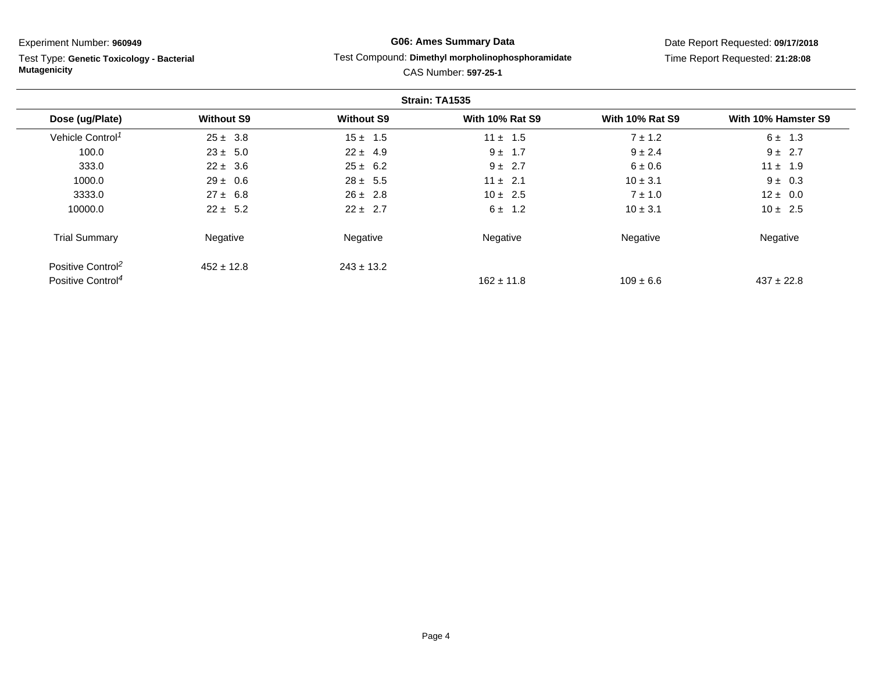Test Type: **Genetic Toxicology - Bacterial Mutagenicity**

## **G06: Ames Summary Data**

### Test Compound: **Dimethyl morpholinophosphoramidate**

Date Report Requested: **09/17/2018**Time Report Requested: **21:28:08**

|                               |                   |                   | Strain: TA1535         |                        |                     |
|-------------------------------|-------------------|-------------------|------------------------|------------------------|---------------------|
| Dose (ug/Plate)               | <b>Without S9</b> | <b>Without S9</b> | <b>With 10% Rat S9</b> | <b>With 10% Rat S9</b> | With 10% Hamster S9 |
| Vehicle Control <sup>1</sup>  | $25 \pm 3.8$      | $15 \pm 1.5$      | $11 \pm 1.5$           | $7 \pm 1.2$            | $6 \pm 1.3$         |
| 100.0                         | $23 \pm 5.0$      | $22 \pm 4.9$      | $9 \pm 1.7$            | $9 \pm 2.4$            | $9 \pm 2.7$         |
| 333.0                         | $22 \pm 3.6$      | $25 \pm 6.2$      | $9 \pm 2.7$            | $6 \pm 0.6$            | $11 \pm 1.9$        |
| 1000.0                        | $29 \pm 0.6$      | $28 \pm 5.5$      | $11 \pm 2.1$           | $10 \pm 3.1$           | $9 \pm 0.3$         |
| 3333.0                        | $27 \pm 6.8$      | $26 \pm 2.8$      | $10 \pm 2.5$           | $7 \pm 1.0$            | $12 \pm 0.0$        |
| 10000.0                       | $22 \pm 5.2$      | $22 \pm 2.7$      | $6 \pm 1.2$            | $10 \pm 3.1$           | $10 \pm 2.5$        |
| <b>Trial Summary</b>          | Negative          | Negative          | Negative               | Negative               | Negative            |
| Positive Control <sup>2</sup> | $452 \pm 12.8$    | $243 \pm 13.2$    |                        |                        |                     |
| Positive Control <sup>4</sup> |                   |                   | $162 \pm 11.8$         | $109 \pm 6.6$          | $437 \pm 22.8$      |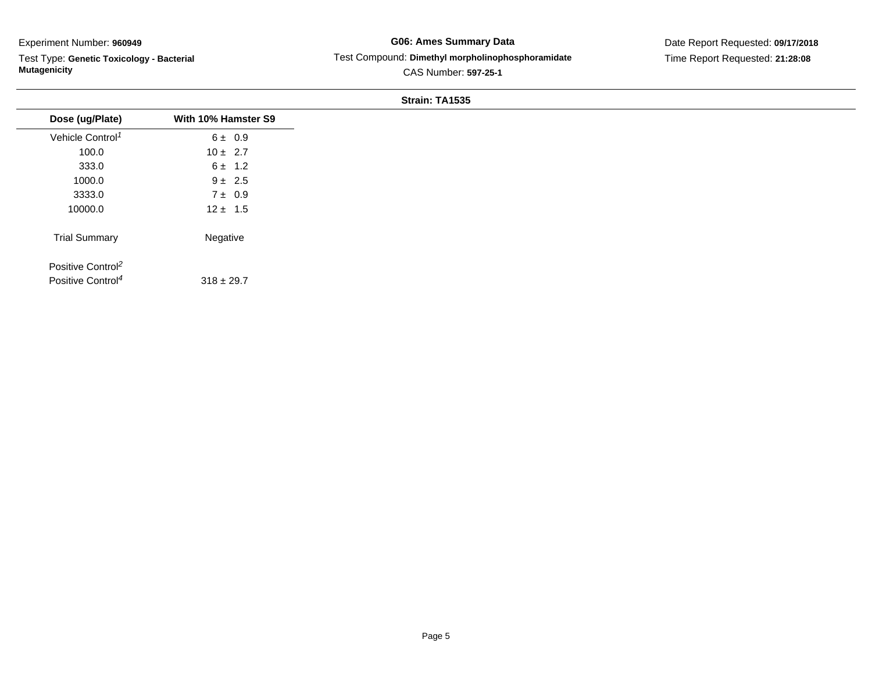÷.

Test Type: **Genetic Toxicology - Bacterial Mutagenicity**

## **G06: Ames Summary Data** Test Compound: **Dimethyl morpholinophosphoramidate**CAS Number: **597-25-1**

Date Report Requested: **09/17/2018**Time Report Requested: **21:28:08**

|                               |                     | Strain: TA1535 |
|-------------------------------|---------------------|----------------|
| Dose (ug/Plate)               | With 10% Hamster S9 |                |
| Vehicle Control <sup>1</sup>  | $6 \pm 0.9$         |                |
| 100.0                         | $10 \pm 2.7$        |                |
| 333.0                         | $6 \pm 1.2$         |                |
| 1000.0                        | $9 \pm 2.5$         |                |
| 3333.0                        | $7 \pm 0.9$         |                |
| 10000.0                       | $12 \pm 1.5$        |                |
| <b>Trial Summary</b>          | Negative            |                |
| Positive Control <sup>2</sup> |                     |                |
| Positive Control <sup>4</sup> | $318 \pm 29.7$      |                |
|                               |                     |                |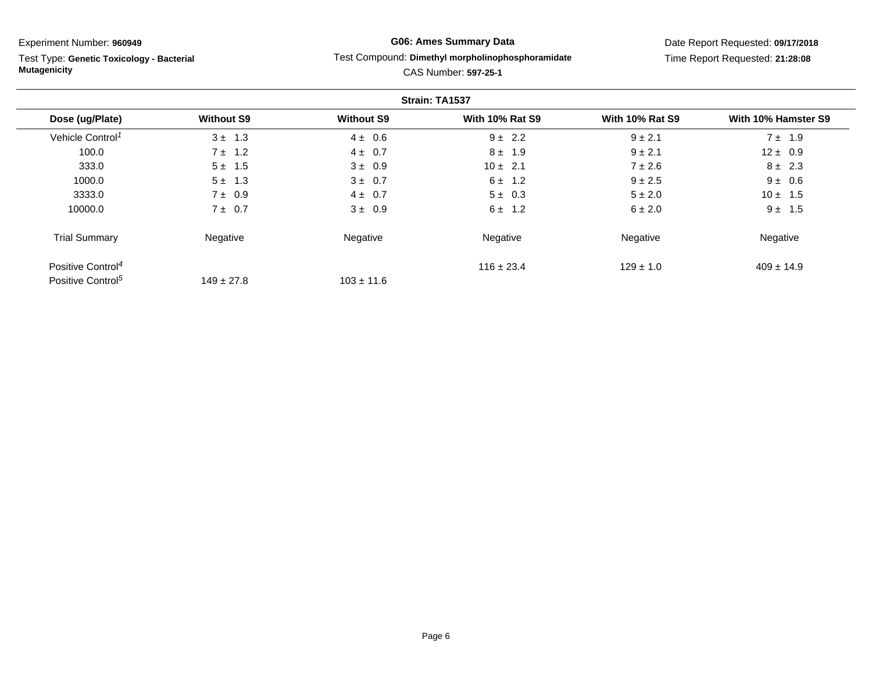Test Type: **Genetic Toxicology - Bacterial Mutagenicity**

# **G06: Ames Summary Data**

### Test Compound: **Dimethyl morpholinophosphoramidate**

Date Report Requested: **09/17/2018**Time Report Requested: **21:28:08**

|                               |                   |                   | Strain: TA1537         |                        |                     |
|-------------------------------|-------------------|-------------------|------------------------|------------------------|---------------------|
| Dose (ug/Plate)               | <b>Without S9</b> | <b>Without S9</b> | <b>With 10% Rat S9</b> | <b>With 10% Rat S9</b> | With 10% Hamster S9 |
| Vehicle Control <sup>1</sup>  | $3 \pm 1.3$       | $4 \pm 0.6$       | $9 \pm 2.2$            | $9 \pm 2.1$            | $7 \pm 1.9$         |
| 100.0                         | $7 \pm 1.2$       | $4 \pm 0.7$       | $8 \pm 1.9$            | $9 \pm 2.1$            | $12 \pm 0.9$        |
| 333.0                         | $5 \pm 1.5$       | $3 \pm 0.9$       | $10 \pm 2.1$           | $7 \pm 2.6$            | $8 \pm 2.3$         |
| 1000.0                        | $5 \pm 1.3$       | $3 \pm 0.7$       | $6 \pm 1.2$            | $9 \pm 2.5$            | $9 \pm 0.6$         |
| 3333.0                        | $7 \pm 0.9$       | $4 \pm 0.7$       | $5 \pm 0.3$            | $5 \pm 2.0$            | $10 \pm 1.5$        |
| 10000.0                       | $7 \pm 0.7$       | $3 \pm 0.9$       | $6 \pm 1.2$            | $6 \pm 2.0$            | $9 \pm 1.5$         |
| <b>Trial Summary</b>          | Negative          | Negative          | Negative               | Negative               | Negative            |
| Positive Control <sup>4</sup> |                   |                   | $116 \pm 23.4$         | $129 \pm 1.0$          | $409 \pm 14.9$      |
| Positive Control <sup>5</sup> | $149 \pm 27.8$    | $103 \pm 11.6$    |                        |                        |                     |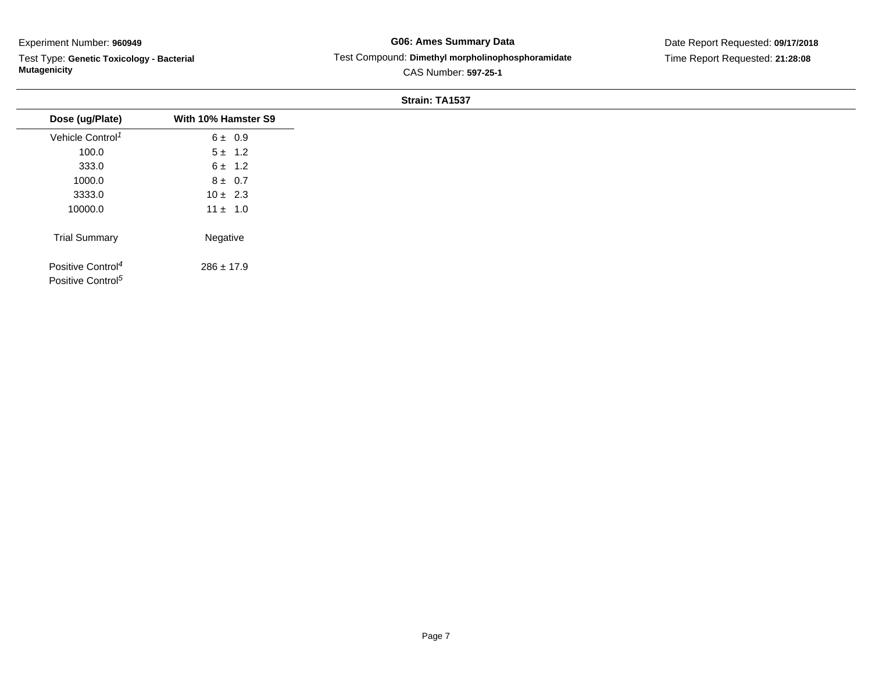Test Type: **Genetic Toxicology - Bacterial Mutagenicity**

## **G06: Ames Summary Data** Test Compound: **Dimethyl morpholinophosphoramidate**CAS Number: **597-25-1**

Date Report Requested: **09/17/2018**Time Report Requested: **21:28:08**

|                                                                |                     | Strain: TA1537 |
|----------------------------------------------------------------|---------------------|----------------|
| Dose (ug/Plate)                                                | With 10% Hamster S9 |                |
| Vehicle Control <sup>1</sup>                                   | 6 ± 0.9             |                |
| 100.0                                                          | $5 \pm 1.2$         |                |
| 333.0                                                          | $6 \pm 1.2$         |                |
| 1000.0                                                         | $8 \pm 0.7$         |                |
| 3333.0                                                         | $10 \pm 2.3$        |                |
| 10000.0                                                        | $11 \pm 1.0$        |                |
| <b>Trial Summary</b>                                           | Negative            |                |
| Positive Control <sup>4</sup><br>Positive Control <sup>5</sup> | $286 \pm 17.9$      |                |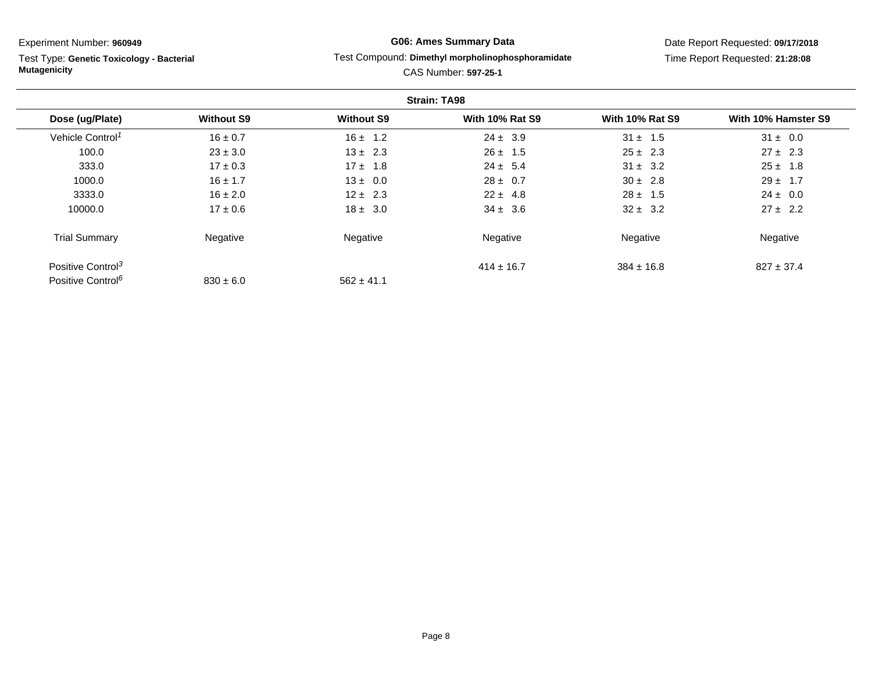Test Type: **Genetic Toxicology - Bacterial Mutagenicity**

# **G06: Ames Summary Data**

### Test Compound: **Dimethyl morpholinophosphoramidate**

Date Report Requested: **09/17/2018**Time Report Requested: **21:28:08**

|                               |                   |                   | <b>Strain: TA98</b>    |                        |                     |
|-------------------------------|-------------------|-------------------|------------------------|------------------------|---------------------|
| Dose (ug/Plate)               | <b>Without S9</b> | <b>Without S9</b> | <b>With 10% Rat S9</b> | <b>With 10% Rat S9</b> | With 10% Hamster S9 |
| Vehicle Control <sup>1</sup>  | $16 \pm 0.7$      | $16 \pm 1.2$      | $24 \pm 3.9$           | $31 \pm 1.5$           | $31 \pm 0.0$        |
| 100.0                         | $23 \pm 3.0$      | $13 \pm 2.3$      | $26 \pm 1.5$           | $25 \pm 2.3$           | $27 \pm 2.3$        |
| 333.0                         | $17 \pm 0.3$      | $17 \pm 1.8$      | $24 \pm 5.4$           | $31 \pm 3.2$           | $25 \pm 1.8$        |
| 1000.0                        | $16 \pm 1.7$      | $13 \pm 0.0$      | $28 \pm 0.7$           | $30 \pm 2.8$           | $29 \pm 1.7$        |
| 3333.0                        | $16 \pm 2.0$      | $12 \pm 2.3$      | $22 \pm 4.8$           | $28 \pm 1.5$           | $24 \pm 0.0$        |
| 10000.0                       | $17 \pm 0.6$      | $18 \pm 3.0$      | $34 \pm 3.6$           | $32 \pm 3.2$           | $27 \pm 2.2$        |
| <b>Trial Summary</b>          | Negative          | Negative          | Negative               | Negative               | Negative            |
| Positive Control <sup>3</sup> |                   |                   | $414 \pm 16.7$         | $384 \pm 16.8$         | $827 \pm 37.4$      |
| Positive Control <sup>6</sup> | $830 \pm 6.0$     | $562 \pm 41.1$    |                        |                        |                     |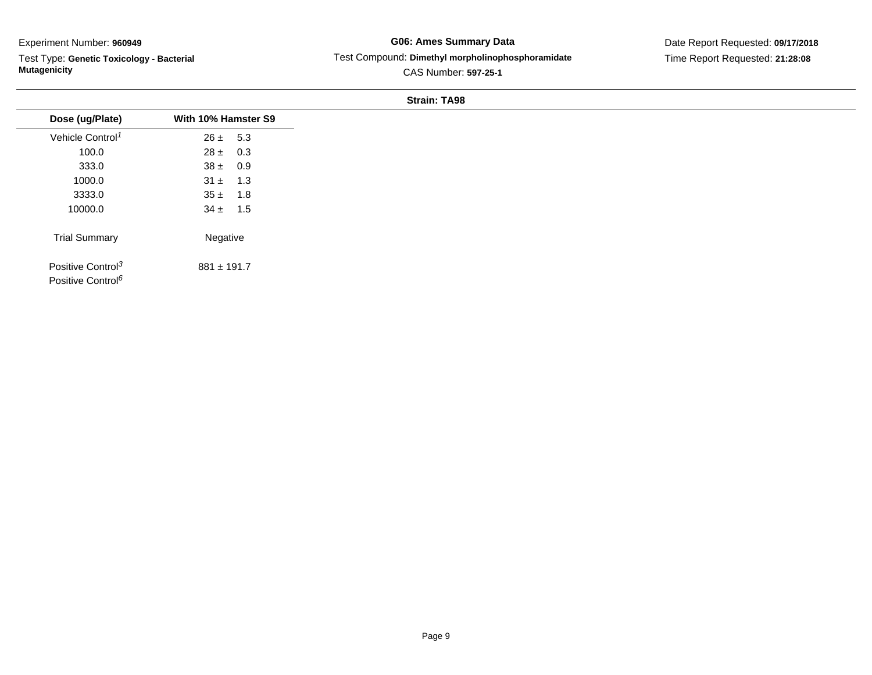Test Type: **Genetic Toxicology - Bacterial Mutagenicity**

**G06: Ames Summary Data** Test Compound: **Dimethyl morpholinophosphoramidate**CAS Number: **597-25-1**

Date Report Requested: **09/17/2018**Time Report Requested: **21:28:08**

### **Strain: TA98**

| Dose (ug/Plate)                                                | With 10% Hamster S9 |
|----------------------------------------------------------------|---------------------|
| Vehicle Control <sup>1</sup>                                   | $26 \pm 5.3$        |
| 100.0                                                          | $28 \pm 0.3$        |
| 333.0                                                          | $38 \pm 0.9$        |
| 1000.0                                                         | $31 \pm 1.3$        |
| 3333.0                                                         | $35 \pm 1.8$        |
| 10000.0                                                        | $34 \pm 1.5$        |
| <b>Trial Summary</b>                                           | Negative            |
| Positive Control <sup>3</sup><br>Positive Control <sup>6</sup> | $881 \pm 191.7$     |